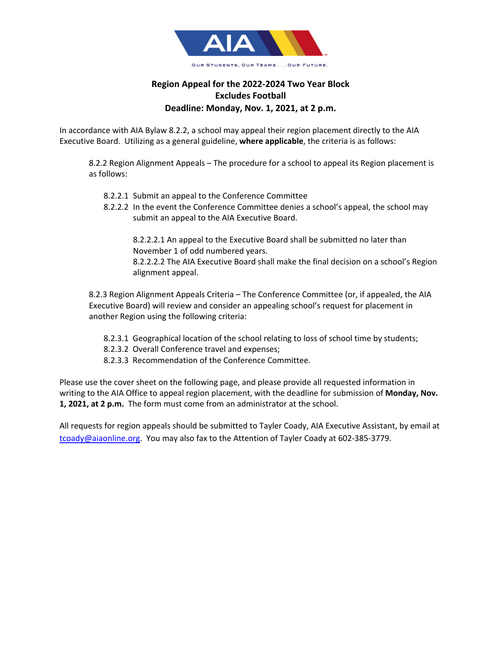

## **Region Appeal for the 2022-2024 Two Year Block Excludes Football Deadline: Monday, Nov. 1, 2021, at 2 p.m.**

In accordance with AIA Bylaw 8.2.2, a school may appeal their region placement directly to the AIA Executive Board. Utilizing as a general guideline, **where applicable**, the criteria is as follows:

8.2.2 Region Alignment Appeals – The procedure for a school to appeal its Region placement is as follows:

- 8.2.2.1 Submit an appeal to the Conference Committee
- 8.2.2.2 In the event the Conference Committee denies a school's appeal, the school may submit an appeal to the AIA Executive Board.

8.2.2.2.1 An appeal to the Executive Board shall be submitted no later than November 1 of odd numbered years. 8.2.2.2.2 The AIA Executive Board shall make the final decision on a school's Region alignment appeal.

8.2.3 Region Alignment Appeals Criteria – The Conference Committee (or, if appealed, the AIA Executive Board) will review and consider an appealing school's request for placement in another Region using the following criteria:

- 8.2.3.1 Geographical location of the school relating to loss of school time by students;
- 8.2.3.2 Overall Conference travel and expenses;
- 8.2.3.3 Recommendation of the Conference Committee.

Please use the cover sheet on the following page, and please provide all requested information in writing to the AIA Office to appeal region placement, with the deadline for submission of **Monday, Nov. 1, 2021, at 2 p.m.** The form must come from an administrator at the school.

All requests for region appeals should be submitted to Tayler Coady, AIA Executive Assistant, by email at tcoady@aiaonline.org. You may also fax to the Attention of Tayler Coady at 602-385-3779.